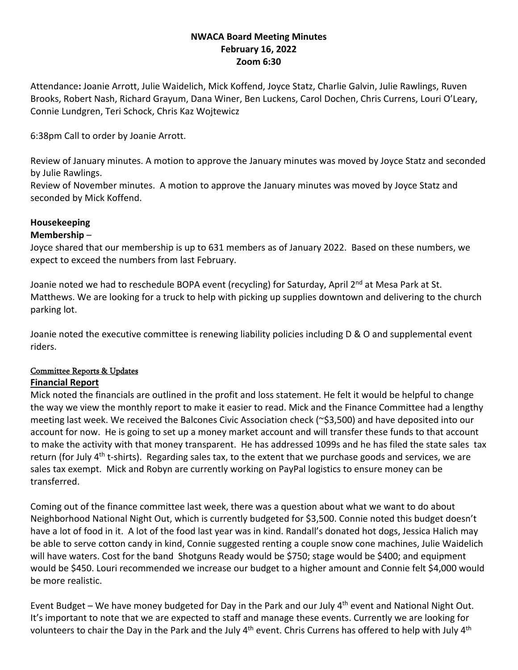# **NWACA Board Meeting Minutes February 16, 2022 Zoom 6:30**

Attendance**:** Joanie Arrott, Julie Waidelich, Mick Koffend, Joyce Statz, Charlie Galvin, Julie Rawlings, Ruven Brooks, Robert Nash, Richard Grayum, Dana Winer, Ben Luckens, Carol Dochen, Chris Currens, Louri O'Leary, Connie Lundgren, Teri Schock, Chris Kaz Wojtewicz

6:38pm Call to order by Joanie Arrott.

Review of January minutes. A motion to approve the January minutes was moved by Joyce Statz and seconded by Julie Rawlings.

Review of November minutes. A motion to approve the January minutes was moved by Joyce Statz and seconded by Mick Koffend.

# **Housekeeping**

### **Membership** –

Joyce shared that our membership is up to 631 members as of January 2022. Based on these numbers, we expect to exceed the numbers from last February.

Joanie noted we had to reschedule BOPA event (recycling) for Saturday, April 2<sup>nd</sup> at Mesa Park at St. Matthews. We are looking for a truck to help with picking up supplies downtown and delivering to the church parking lot.

Joanie noted the executive committee is renewing liability policies including D & O and supplemental event riders.

# Committee Reports & Updates

#### **Financial Report**

Mick noted the financials are outlined in the profit and loss statement. He felt it would be helpful to change the way we view the monthly report to make it easier to read. Mick and the Finance Committee had a lengthy meeting last week. We received the Balcones Civic Association check (~\$3,500) and have deposited into our account for now. He is going to set up a money market account and will transfer these funds to that account to make the activity with that money transparent. He has addressed 1099s and he has filed the state sales tax return (for July 4<sup>th</sup> t-shirts). Regarding sales tax, to the extent that we purchase goods and services, we are sales tax exempt. Mick and Robyn are currently working on PayPal logistics to ensure money can be transferred.

Coming out of the finance committee last week, there was a question about what we want to do about Neighborhood National Night Out, which is currently budgeted for \$3,500. Connie noted this budget doesn't have a lot of food in it. A lot of the food last year was in kind. Randall's donated hot dogs, Jessica Halich may be able to serve cotton candy in kind, Connie suggested renting a couple snow cone machines, Julie Waidelich will have waters. Cost for the band Shotguns Ready would be \$750; stage would be \$400; and equipment would be \$450. Louri recommended we increase our budget to a higher amount and Connie felt \$4,000 would be more realistic.

Event Budget – We have money budgeted for Day in the Park and our July  $4<sup>th</sup>$  event and National Night Out. It's important to note that we are expected to staff and manage these events. Currently we are looking for volunteers to chair the Day in the Park and the July 4<sup>th</sup> event. Chris Currens has offered to help with July 4<sup>th</sup>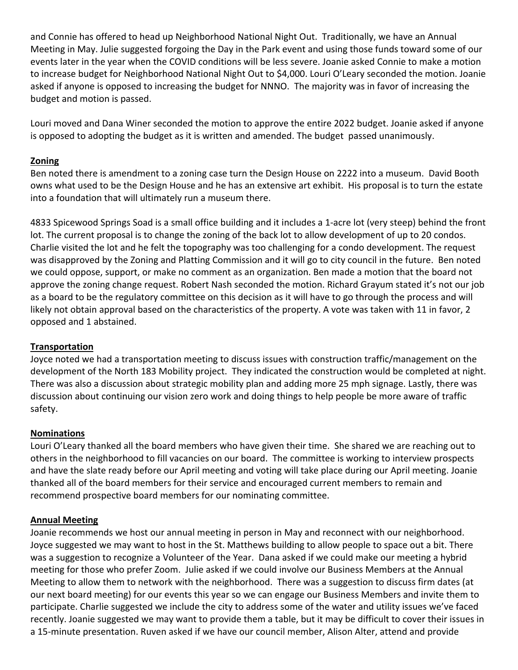and Connie has offered to head up Neighborhood National Night Out. Traditionally, we have an Annual Meeting in May. Julie suggested forgoing the Day in the Park event and using those funds toward some of our events later in the year when the COVID conditions will be less severe. Joanie asked Connie to make a motion to increase budget for Neighborhood National Night Out to \$4,000. Louri O'Leary seconded the motion. Joanie asked if anyone is opposed to increasing the budget for NNNO. The majority was in favor of increasing the budget and motion is passed.

Louri moved and Dana Winer seconded the motion to approve the entire 2022 budget. Joanie asked if anyone is opposed to adopting the budget as it is written and amended. The budget passed unanimously.

# **Zoning**

Ben noted there is amendment to a zoning case turn the Design House on 2222 into a museum. David Booth owns what used to be the Design House and he has an extensive art exhibit. His proposal is to turn the estate into a foundation that will ultimately run a museum there.

4833 Spicewood Springs Soad is a small office building and it includes a 1‐acre lot (very steep) behind the front lot. The current proposal is to change the zoning of the back lot to allow development of up to 20 condos. Charlie visited the lot and he felt the topography was too challenging for a condo development. The request was disapproved by the Zoning and Platting Commission and it will go to city council in the future. Ben noted we could oppose, support, or make no comment as an organization. Ben made a motion that the board not approve the zoning change request. Robert Nash seconded the motion. Richard Grayum stated it's not our job as a board to be the regulatory committee on this decision as it will have to go through the process and will likely not obtain approval based on the characteristics of the property. A vote was taken with 11 in favor, 2 opposed and 1 abstained.

# **Transportation**

Joyce noted we had a transportation meeting to discuss issues with construction traffic/management on the development of the North 183 Mobility project. They indicated the construction would be completed at night. There was also a discussion about strategic mobility plan and adding more 25 mph signage. Lastly, there was discussion about continuing our vision zero work and doing things to help people be more aware of traffic safety.

# **Nominations**

Louri O'Leary thanked all the board members who have given their time. She shared we are reaching out to others in the neighborhood to fill vacancies on our board. The committee is working to interview prospects and have the slate ready before our April meeting and voting will take place during our April meeting. Joanie thanked all of the board members for their service and encouraged current members to remain and recommend prospective board members for our nominating committee.

# **Annual Meeting**

Joanie recommends we host our annual meeting in person in May and reconnect with our neighborhood. Joyce suggested we may want to host in the St. Matthews building to allow people to space out a bit. There was a suggestion to recognize a Volunteer of the Year. Dana asked if we could make our meeting a hybrid meeting for those who prefer Zoom. Julie asked if we could involve our Business Members at the Annual Meeting to allow them to network with the neighborhood. There was a suggestion to discuss firm dates (at our next board meeting) for our events this year so we can engage our Business Members and invite them to participate. Charlie suggested we include the city to address some of the water and utility issues we've faced recently. Joanie suggested we may want to provide them a table, but it may be difficult to cover their issues in a 15‐minute presentation. Ruven asked if we have our council member, Alison Alter, attend and provide